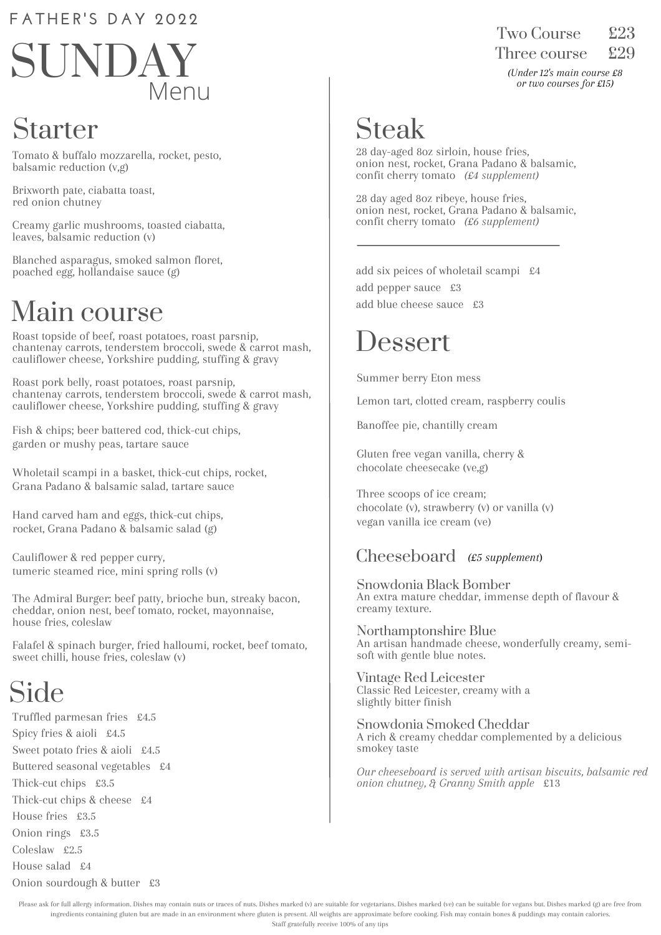#### **F A T H ER ' S D A Y 202 2**



### Starter

Tomato & buffalo mozzarella, rocket, pesto, balsamic reduction (v,g)

Brixworth pate, ciabatta toast, red onion chutney

Creamy garlic mushrooms, toasted ciabatta, leaves, balsamic reduction (v)

Blanched asparagus, smoked salmon floret, poached egg, hollandaise sauce (g)

### Main course

Roast topside of beef, roast potatoes, roast parsnip, chantenay carrots, tenderstem broccoli, swede & carrot mash, cauliflower cheese, Yorkshire pudding, stuffing & gravy

Roast pork belly, roast potatoes, roast parsnip, chantenay carrots, tenderstem broccoli, swede & carrot mash, cauliflower cheese, Yorkshire pudding, stuffing & gravy

Fish & chips; beer battered cod, thick-cut chips, garden or mushy peas, tartare sauce

Wholetail scampi in a basket, thick-cut chips, rocket, Grana Padano & balsamic salad, tartare sauce

Hand carved ham and eggs, thick-cut chips, rocket, Grana Padano & balsamic salad (g)

Cauliflower & red pepper curry, tumeric steamed rice, mini spring rolls (v)

The Admiral Burger: beef patty, brioche bun, streaky bacon, cheddar, onion nest, beef tomato, rocket, mayonnaise, house fries, coleslaw

Falafel & spinach burger, fried halloumi, rocket, beef tomato, sweet chilli, house fries, coleslaw (v)

# Side

Truffled parmesan fries £4.5 Spicy fries & aioli £4.5 Sweet potato fries & aioli £4.5 Buttered seasonal vegetables £4 Thick-cut chips £3.5 Thick-cut chips & cheese £4 House fries £3.5 Onion rings £3.5 Coleslaw £2.5 House salad £4 Onion sourdough & butter £3

Two Course Three course £29

*(Under 12's main course £8 or two courses for £15)*

## Steak

28 day-aged 8oz sirloin, house fries, onion nest, rocket, Grana Padano & balsamic, confit cherry tomato *(£4 supplement)*

28 day aged 8oz ribeye, house fries, onion nest, rocket, Grana Padano & balsamic, confit cherry tomato *(£6 supplement)*

add six peices of wholetail scampi £4 add pepper sauce £3 add blue cheese sauce £3

#### Dessert

Summer berry Eton mess

Lemon tart, clotted cream, raspberry coulis

Banoffee pie, chantilly cream

Gluten free vegan vanilla, cherry & chocolate cheesecake (ve,g)

Three scoops of ice cream; chocolate (v), strawberry (v) or vanilla (v) vegan vanilla ice cream (ve)

#### Cheeseboard *(£5 supplement*)

Snowdonia Black Bomber An extra mature cheddar, immense depth of flavour & creamy texture.

Northamptonshire Blue An artisan handmade cheese, wonderfully creamy, semisoft with gentle blue notes.

Vintage Red Leicester Classic Red Leicester, creamy with a slightly bitter finish

Snowdonia Smoked Cheddar A rich & creamy cheddar complemented by a delicious smokey taste

*Our cheeseboard is served with artisan biscuits, balsamic red onion chutney, & Granny Smith apple* £13

Please ask for full allergy information. Dishes may contain nuts or traces of nuts. Dishes marked (v) are suitable for vegetarians. Dishes marked (ve) can be suitable for vegans but. Dishes marked (g) are free from ingredients containing gluten but are made in an environment where gluten is present. All weights are approximate before cooking. Fish may contain bones & puddings may contain calories. Staff gratefully receive 100% of any tips